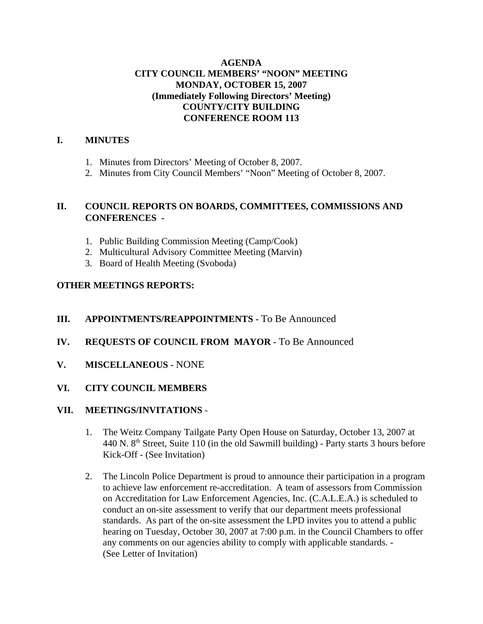## **AGENDA CITY COUNCIL MEMBERS' "NOON" MEETING MONDAY, OCTOBER 15, 2007 (Immediately Following Directors' Meeting) COUNTY/CITY BUILDING CONFERENCE ROOM 113**

### **I. MINUTES**

- 1. Minutes from Directors' Meeting of October 8, 2007.
- 2. Minutes from City Council Members' "Noon" Meeting of October 8, 2007.

### **II. COUNCIL REPORTS ON BOARDS, COMMITTEES, COMMISSIONS AND CONFERENCES -**

- 1. Public Building Commission Meeting (Camp/Cook)
- 2. Multicultural Advisory Committee Meeting (Marvin)
- 3. Board of Health Meeting (Svoboda)

### **OTHER MEETINGS REPORTS:**

## **III.** APPOINTMENTS/REAPPOINTMENTS - To Be Announced

- **IV. REQUESTS OF COUNCIL FROM MAYOR -** To Be Announced
- **V. MISCELLANEOUS** NONE
- **VI. CITY COUNCIL MEMBERS**

#### **VII. MEETINGS/INVITATIONS** -

- 1. The Weitz Company Tailgate Party Open House on Saturday, October 13, 2007 at 440 N.  $8<sup>th</sup>$  Street, Suite 110 (in the old Sawmill building) - Party starts 3 hours before Kick-Off - (See Invitation)
- 2. The Lincoln Police Department is proud to announce their participation in a program to achieve law enforcement re-accreditation. A team of assessors from Commission on Accreditation for Law Enforcement Agencies, Inc. (C.A.L.E.A.) is scheduled to conduct an on-site assessment to verify that our department meets professional standards. As part of the on-site assessment the LPD invites you to attend a public hearing on Tuesday, October 30, 2007 at 7:00 p.m. in the Council Chambers to offer any comments on our agencies ability to comply with applicable standards. - (See Letter of Invitation)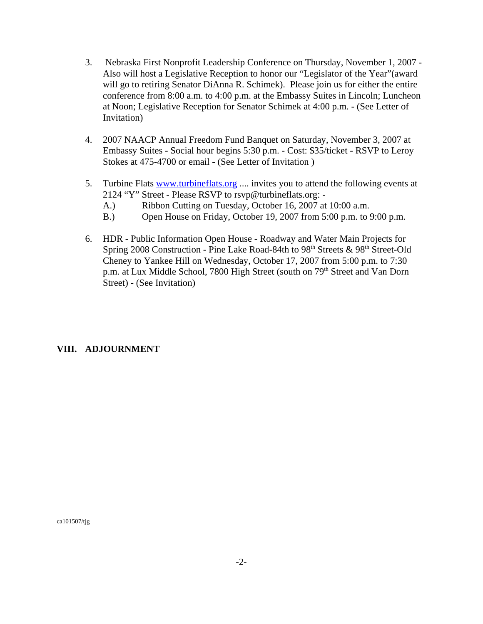- 3. Nebraska First Nonprofit Leadership Conference on Thursday, November 1, 2007 Also will host a Legislative Reception to honor our "Legislator of the Year"(award will go to retiring Senator DiAnna R. Schimek). Please join us for either the entire conference from 8:00 a.m. to 4:00 p.m. at the Embassy Suites in Lincoln; Luncheon at Noon; Legislative Reception for Senator Schimek at 4:00 p.m. - (See Letter of Invitation)
- 4. 2007 NAACP Annual Freedom Fund Banquet on Saturday, November 3, 2007 at Embassy Suites - Social hour begins 5:30 p.m. - Cost: \$35/ticket - RSVP to Leroy Stokes at 475-4700 or email - (See Letter of Invitation )
- 5. Turbine Flats www.turbineflats.org .... invites you to attend the following events at 2124 "Y" Street - Please RSVP to rsvp@turbineflats.org: -
	- A.) Ribbon Cutting on Tuesday, October 16, 2007 at 10:00 a.m.
	- B.) Open House on Friday, October 19, 2007 from 5:00 p.m. to 9:00 p.m.
- 6. HDR Public Information Open House Roadway and Water Main Projects for Spring 2008 Construction - Pine Lake Road-84th to 98<sup>th</sup> Streets & 98<sup>th</sup> Street-Old Cheney to Yankee Hill on Wednesday, October 17, 2007 from 5:00 p.m. to 7:30 p.m. at Lux Middle School, 7800 High Street (south on 79<sup>th</sup> Street and Van Dorn Street) - (See Invitation)

## **VIII. ADJOURNMENT**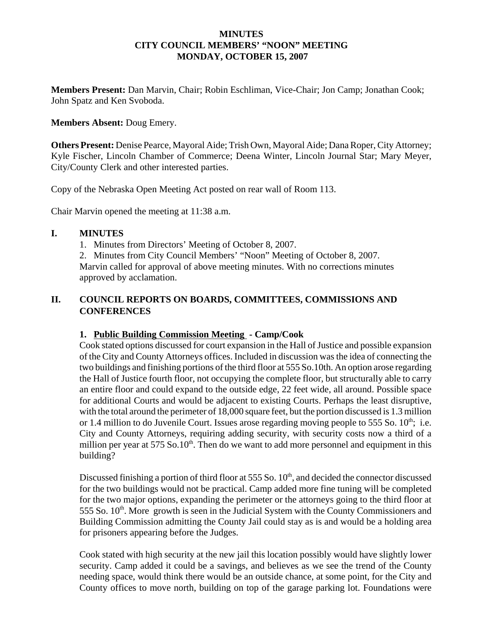### **MINUTES CITY COUNCIL MEMBERS' "NOON" MEETING MONDAY, OCTOBER 15, 2007**

**Members Present:** Dan Marvin, Chair; Robin Eschliman, Vice-Chair; Jon Camp; Jonathan Cook; John Spatz and Ken Svoboda.

#### **Members Absent:** Doug Emery.

**Others Present:** Denise Pearce, Mayoral Aide; Trish Own, Mayoral Aide; Dana Roper, City Attorney; Kyle Fischer, Lincoln Chamber of Commerce; Deena Winter, Lincoln Journal Star; Mary Meyer, City/County Clerk and other interested parties.

Copy of the Nebraska Open Meeting Act posted on rear wall of Room 113.

Chair Marvin opened the meeting at 11:38 a.m.

### **I. MINUTES**

1. Minutes from Directors' Meeting of October 8, 2007.

2. Minutes from City Council Members' "Noon" Meeting of October 8, 2007. Marvin called for approval of above meeting minutes. With no corrections minutes approved by acclamation.

# **II. COUNCIL REPORTS ON BOARDS, COMMITTEES, COMMISSIONS AND CONFERENCES**

## **1. Public Building Commission Meeting - Camp/Cook**

Cook stated options discussed for court expansion in the Hall of Justice and possible expansion of the City and County Attorneys offices. Included in discussion was the idea of connecting the two buildings and finishing portions of the third floor at 555 So.10th. An option arose regarding the Hall of Justice fourth floor, not occupying the complete floor, but structurally able to carry an entire floor and could expand to the outside edge, 22 feet wide, all around. Possible space for additional Courts and would be adjacent to existing Courts. Perhaps the least disruptive, with the total around the perimeter of 18,000 square feet, but the portion discussed is 1.3 million or 1.4 million to do Juvenile Court. Issues arose regarding moving people to 555 So.  $10^{th}$ ; i.e. City and County Attorneys, requiring adding security, with security costs now a third of a million per year at  $575$  So.10<sup>th</sup>. Then do we want to add more personnel and equipment in this building?

Discussed finishing a portion of third floor at 555 So. 10<sup>th</sup>, and decided the connector discussed for the two buildings would not be practical. Camp added more fine tuning will be completed for the two major options, expanding the perimeter or the attorneys going to the third floor at  $555$  So.  $10<sup>th</sup>$ . More growth is seen in the Judicial System with the County Commissioners and Building Commission admitting the County Jail could stay as is and would be a holding area for prisoners appearing before the Judges.

Cook stated with high security at the new jail this location possibly would have slightly lower security. Camp added it could be a savings, and believes as we see the trend of the County needing space, would think there would be an outside chance, at some point, for the City and County offices to move north, building on top of the garage parking lot. Foundations were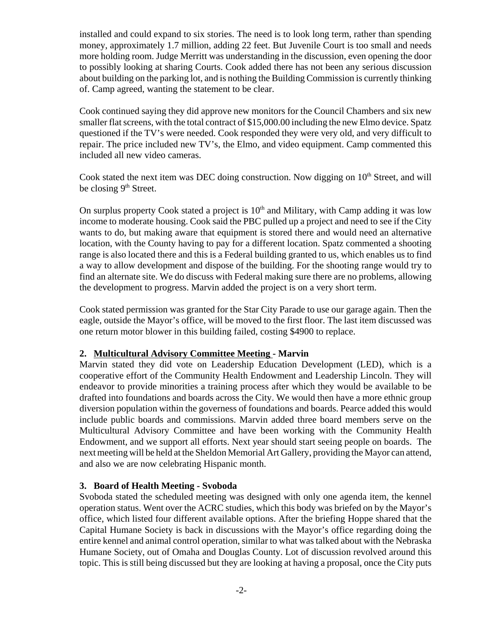installed and could expand to six stories. The need is to look long term, rather than spending money, approximately 1.7 million, adding 22 feet. But Juvenile Court is too small and needs more holding room. Judge Merritt was understanding in the discussion, even opening the door to possibly looking at sharing Courts. Cook added there has not been any serious discussion about building on the parking lot, and is nothing the Building Commission is currently thinking of. Camp agreed, wanting the statement to be clear.

Cook continued saying they did approve new monitors for the Council Chambers and six new smaller flat screens, with the total contract of \$15,000.00 including the new Elmo device. Spatz questioned if the TV's were needed. Cook responded they were very old, and very difficult to repair. The price included new TV's, the Elmo, and video equipment. Camp commented this included all new video cameras.

Cook stated the next item was DEC doing construction. Now digging on  $10<sup>th</sup>$  Street, and will be closing  $9<sup>th</sup>$  Street.

On surplus property Cook stated a project is  $10<sup>th</sup>$  and Military, with Camp adding it was low income to moderate housing. Cook said the PBC pulled up a project and need to see if the City wants to do, but making aware that equipment is stored there and would need an alternative location, with the County having to pay for a different location. Spatz commented a shooting range is also located there and this is a Federal building granted to us, which enables us to find a way to allow development and dispose of the building. For the shooting range would try to find an alternate site. We do discuss with Federal making sure there are no problems, allowing the development to progress. Marvin added the project is on a very short term.

Cook stated permission was granted for the Star City Parade to use our garage again. Then the eagle, outside the Mayor's office, will be moved to the first floor. The last item discussed was one return motor blower in this building failed, costing \$4900 to replace.

## **2. Multicultural Advisory Committee Meeting - Marvin**

Marvin stated they did vote on Leadership Education Development (LED), which is a cooperative effort of the Community Health Endowment and Leadership Lincoln. They will endeavor to provide minorities a training process after which they would be available to be drafted into foundations and boards across the City. We would then have a more ethnic group diversion population within the governess of foundations and boards. Pearce added this would include public boards and commissions. Marvin added three board members serve on the Multicultural Advisory Committee and have been working with the Community Health Endowment, and we support all efforts. Next year should start seeing people on boards. The next meeting will be held at the Sheldon Memorial Art Gallery, providing the Mayor can attend, and also we are now celebrating Hispanic month.

#### **3. Board of Health Meeting - Svoboda**

Svoboda stated the scheduled meeting was designed with only one agenda item, the kennel operation status. Went over the ACRC studies, which this body was briefed on by the Mayor's office, which listed four different available options. After the briefing Hoppe shared that the Capital Humane Society is back in discussions with the Mayor's office regarding doing the entire kennel and animal control operation, similar to what was talked about with the Nebraska Humane Society, out of Omaha and Douglas County. Lot of discussion revolved around this topic. This is still being discussed but they are looking at having a proposal, once the City puts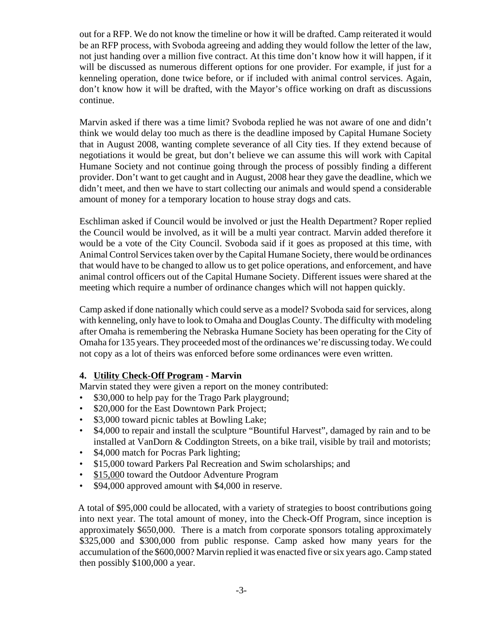out for a RFP. We do not know the timeline or how it will be drafted. Camp reiterated it would be an RFP process, with Svoboda agreeing and adding they would follow the letter of the law, not just handing over a million five contract. At this time don't know how it will happen, if it will be discussed as numerous different options for one provider. For example, if just for a kenneling operation, done twice before, or if included with animal control services. Again, don't know how it will be drafted, with the Mayor's office working on draft as discussions continue.

Marvin asked if there was a time limit? Svoboda replied he was not aware of one and didn't think we would delay too much as there is the deadline imposed by Capital Humane Society that in August 2008, wanting complete severance of all City ties. If they extend because of negotiations it would be great, but don't believe we can assume this will work with Capital Humane Society and not continue going through the process of possibly finding a different provider. Don't want to get caught and in August, 2008 hear they gave the deadline, which we didn't meet, and then we have to start collecting our animals and would spend a considerable amount of money for a temporary location to house stray dogs and cats.

Eschliman asked if Council would be involved or just the Health Department? Roper replied the Council would be involved, as it will be a multi year contract. Marvin added therefore it would be a vote of the City Council. Svoboda said if it goes as proposed at this time, with Animal Control Services taken over by the Capital Humane Society, there would be ordinances that would have to be changed to allow us to get police operations, and enforcement, and have animal control officers out of the Capital Humane Society. Different issues were shared at the meeting which require a number of ordinance changes which will not happen quickly.

Camp asked if done nationally which could serve as a model? Svoboda said for services, along with kenneling, only have to look to Omaha and Douglas County. The difficulty with modeling after Omaha is remembering the Nebraska Humane Society has been operating for the City of Omaha for 135 years. They proceeded most of the ordinances we're discussing today. We could not copy as a lot of theirs was enforced before some ordinances were even written.

## **4. Utility Check-Off Program - Marvin**

Marvin stated they were given a report on the money contributed:

- \$30,000 to help pay for the Trago Park playground;
- \$20,000 for the East Downtown Park Project;
- \$3,000 toward picnic tables at Bowling Lake;
- \$4,000 to repair and install the sculpture "Bountiful Harvest", damaged by rain and to be installed at VanDorn & Coddington Streets, on a bike trail, visible by trail and motorists;
- \$4,000 match for Pocras Park lighting;
- \$15,000 toward Parkers Pal Recreation and Swim scholarships; and
- \$15,000 toward the Outdoor Adventure Program
- \$94,000 approved amount with \$4,000 in reserve.

 A total of \$95,000 could be allocated, with a variety of strategies to boost contributions going into next year. The total amount of money, into the Check-Off Program, since inception is approximately \$650,000. There is a match from corporate sponsors totaling approximately \$325,000 and \$300,000 from public response. Camp asked how many years for the accumulation of the \$600,000? Marvin replied it was enacted five or six years ago. Camp stated then possibly \$100,000 a year.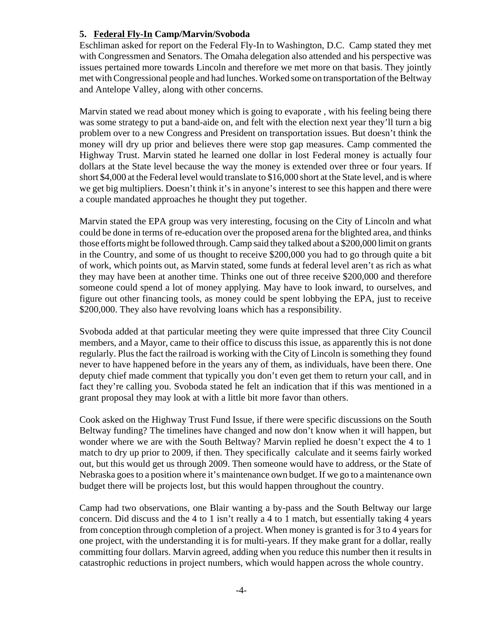# **5. Federal Fly-In Camp/Marvin/Svoboda**

Eschliman asked for report on the Federal Fly-In to Washington, D.C. Camp stated they met with Congressmen and Senators. The Omaha delegation also attended and his perspective was issues pertained more towards Lincoln and therefore we met more on that basis. They jointly met with Congressional people and had lunches. Worked some on transportation of the Beltway and Antelope Valley, along with other concerns.

Marvin stated we read about money which is going to evaporate , with his feeling being there was some strategy to put a band-aide on, and felt with the election next year they'll turn a big problem over to a new Congress and President on transportation issues. But doesn't think the money will dry up prior and believes there were stop gap measures. Camp commented the Highway Trust. Marvin stated he learned one dollar in lost Federal money is actually four dollars at the State level because the way the money is extended over three or four years. If short \$4,000 at the Federal level would translate to \$16,000 short at the State level, and is where we get big multipliers. Doesn't think it's in anyone's interest to see this happen and there were a couple mandated approaches he thought they put together.

Marvin stated the EPA group was very interesting, focusing on the City of Lincoln and what could be done in terms of re-education over the proposed arena for the blighted area, and thinks those efforts might be followed through. Camp said they talked about a \$200,000 limit on grants in the Country, and some of us thought to receive \$200,000 you had to go through quite a bit of work, which points out, as Marvin stated, some funds at federal level aren't as rich as what they may have been at another time. Thinks one out of three receive \$200,000 and therefore someone could spend a lot of money applying. May have to look inward, to ourselves, and figure out other financing tools, as money could be spent lobbying the EPA, just to receive \$200,000. They also have revolving loans which has a responsibility.

Svoboda added at that particular meeting they were quite impressed that three City Council members, and a Mayor, came to their office to discuss this issue, as apparently this is not done regularly. Plus the fact the railroad is working with the City of Lincoln is something they found never to have happened before in the years any of them, as individuals, have been there. One deputy chief made comment that typically you don't even get them to return your call, and in fact they're calling you. Svoboda stated he felt an indication that if this was mentioned in a grant proposal they may look at with a little bit more favor than others.

Cook asked on the Highway Trust Fund Issue, if there were specific discussions on the South Beltway funding? The timelines have changed and now don't know when it will happen, but wonder where we are with the South Beltway? Marvin replied he doesn't expect the 4 to 1 match to dry up prior to 2009, if then. They specifically calculate and it seems fairly worked out, but this would get us through 2009. Then someone would have to address, or the State of Nebraska goes to a position where it's maintenance own budget. If we go to a maintenance own budget there will be projects lost, but this would happen throughout the country.

Camp had two observations, one Blair wanting a by-pass and the South Beltway our large concern. Did discuss and the 4 to 1 isn't really a 4 to 1 match, but essentially taking 4 years from conception through completion of a project. When money is granted is for 3 to 4 years for one project, with the understanding it is for multi-years. If they make grant for a dollar, really committing four dollars. Marvin agreed, adding when you reduce this number then it results in catastrophic reductions in project numbers, which would happen across the whole country.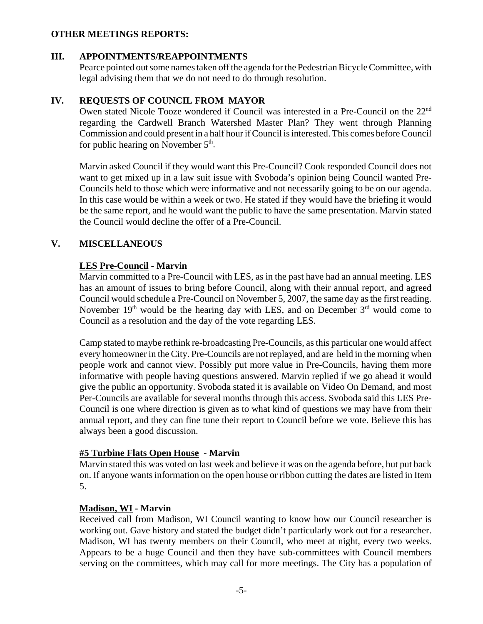### **OTHER MEETINGS REPORTS:**

#### **III. APPOINTMENTS/REAPPOINTMENTS**

Pearce pointed out some names taken off the agenda for the Pedestrian Bicycle Committee, with legal advising them that we do not need to do through resolution.

## **IV. REQUESTS OF COUNCIL FROM MAYOR**

Owen stated Nicole Tooze wondered if Council was interested in a Pre-Council on the 22<sup>nd</sup> regarding the Cardwell Branch Watershed Master Plan? They went through Planning Commission and could present in a half hour if Council is interested. This comes before Council for public hearing on November  $5<sup>th</sup>$ .

Marvin asked Council if they would want this Pre-Council? Cook responded Council does not want to get mixed up in a law suit issue with Svoboda's opinion being Council wanted Pre-Councils held to those which were informative and not necessarily going to be on our agenda. In this case would be within a week or two. He stated if they would have the briefing it would be the same report, and he would want the public to have the same presentation. Marvin stated the Council would decline the offer of a Pre-Council.

# **V. MISCELLANEOUS**

# **LES Pre-Council - Marvin**

Marvin committed to a Pre-Council with LES, as in the past have had an annual meeting. LES has an amount of issues to bring before Council, along with their annual report, and agreed Council would schedule a Pre-Council on November 5, 2007, the same day as the first reading. November  $19<sup>th</sup>$  would be the hearing day with LES, and on December  $3<sup>rd</sup>$  would come to Council as a resolution and the day of the vote regarding LES.

Camp stated to maybe rethink re-broadcasting Pre-Councils, as this particular one would affect every homeowner in the City. Pre-Councils are not replayed, and are held in the morning when people work and cannot view. Possibly put more value in Pre-Councils, having them more informative with people having questions answered. Marvin replied if we go ahead it would give the public an opportunity. Svoboda stated it is available on Video On Demand, and most Per-Councils are available for several months through this access. Svoboda said this LES Pre-Council is one where direction is given as to what kind of questions we may have from their annual report, and they can fine tune their report to Council before we vote. Believe this has always been a good discussion.

# **#5 Turbine Flats Open House - Marvin**

Marvin stated this was voted on last week and believe it was on the agenda before, but put back on. If anyone wants information on the open house or ribbon cutting the dates are listed in Item 5.

## **Madison, WI - Marvin**

Received call from Madison, WI Council wanting to know how our Council researcher is working out. Gave history and stated the budget didn't particularly work out for a researcher. Madison, WI has twenty members on their Council, who meet at night, every two weeks. Appears to be a huge Council and then they have sub-committees with Council members serving on the committees, which may call for more meetings. The City has a population of